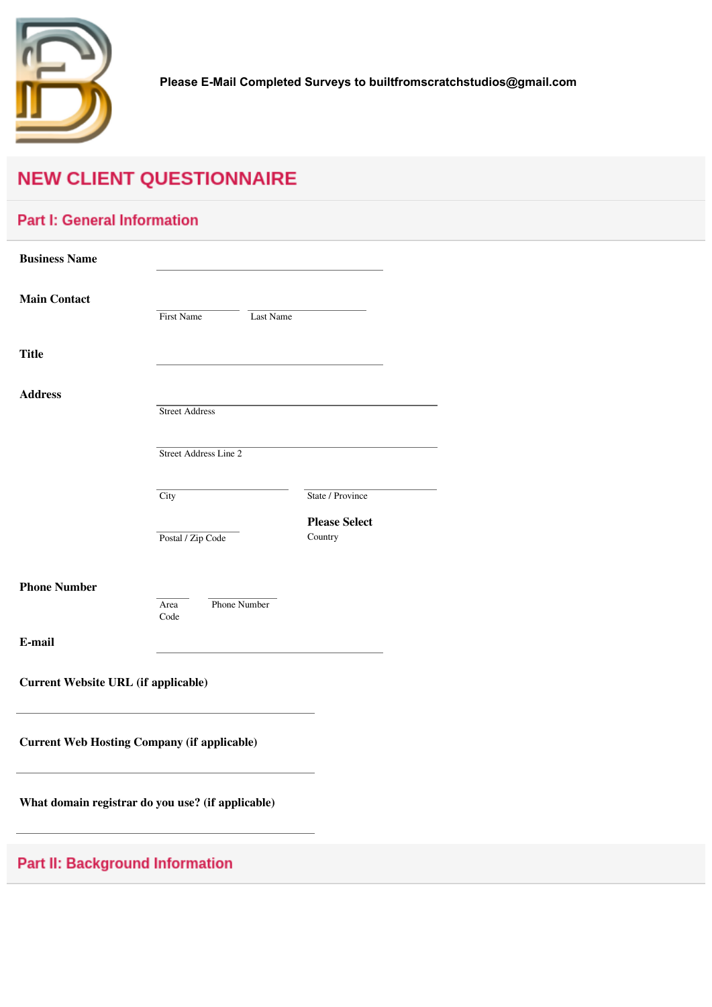

**Please E-Mail Completed Surveys to builtfromscratchstudios@gmail.com**

# **NEW CLIENT QUESTIONNAIRE**

# **Part I: General Information**

| <b>Business Name</b>                               |                              |           |                                 |  |  |  |
|----------------------------------------------------|------------------------------|-----------|---------------------------------|--|--|--|
| <b>Main Contact</b>                                | First Name                   | Last Name |                                 |  |  |  |
| <b>Title</b>                                       |                              |           |                                 |  |  |  |
| <b>Address</b>                                     | <b>Street Address</b>        |           |                                 |  |  |  |
|                                                    | Street Address Line 2        |           |                                 |  |  |  |
|                                                    | City                         |           | State / Province                |  |  |  |
|                                                    | Postal / Zip Code            |           | <b>Please Select</b><br>Country |  |  |  |
| <b>Phone Number</b>                                | Phone Number<br>Area<br>Code |           |                                 |  |  |  |
| E-mail                                             |                              |           |                                 |  |  |  |
| Current Website URL (if applicable)                |                              |           |                                 |  |  |  |
| <b>Current Web Hosting Company (if applicable)</b> |                              |           |                                 |  |  |  |
| What domain registrar do you use? (if applicable)  |                              |           |                                 |  |  |  |
| <b>Part II: Background Information</b>             |                              |           |                                 |  |  |  |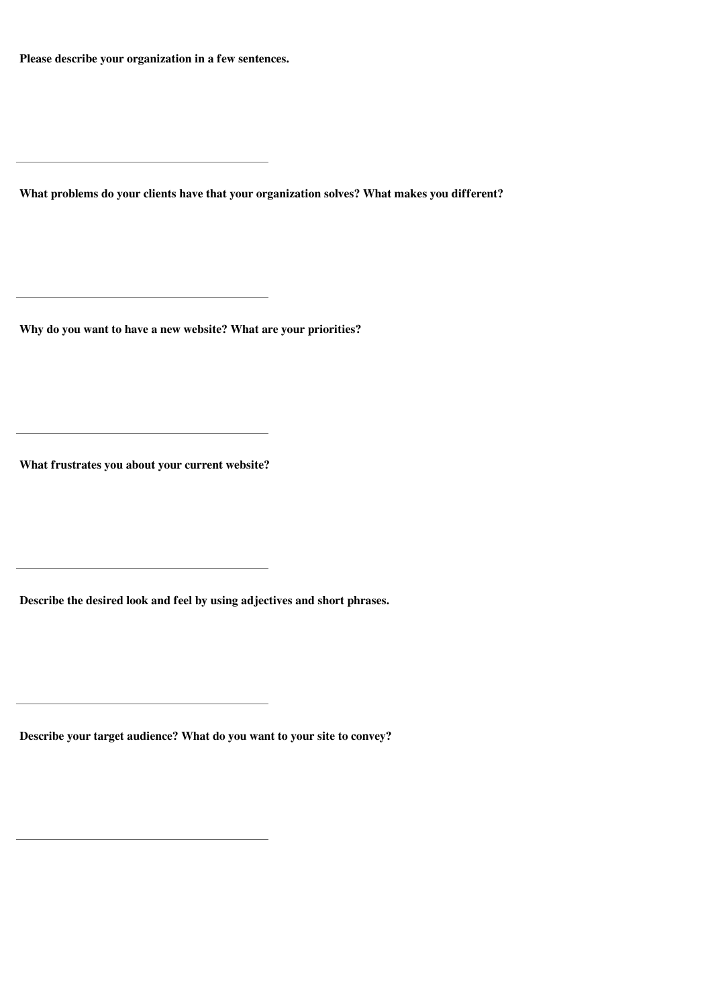**Please describe your organization in a few sentences.**

**What problems do your clients have that your organization solves? What makes you different?**

**Why do you want to have a new website? What are your priorities?**

**What frustrates you about your current website?**

**Describe the desired look and feel by using adjectives and short phrases.**

**Describe your target audience? What do you want to your site to convey?**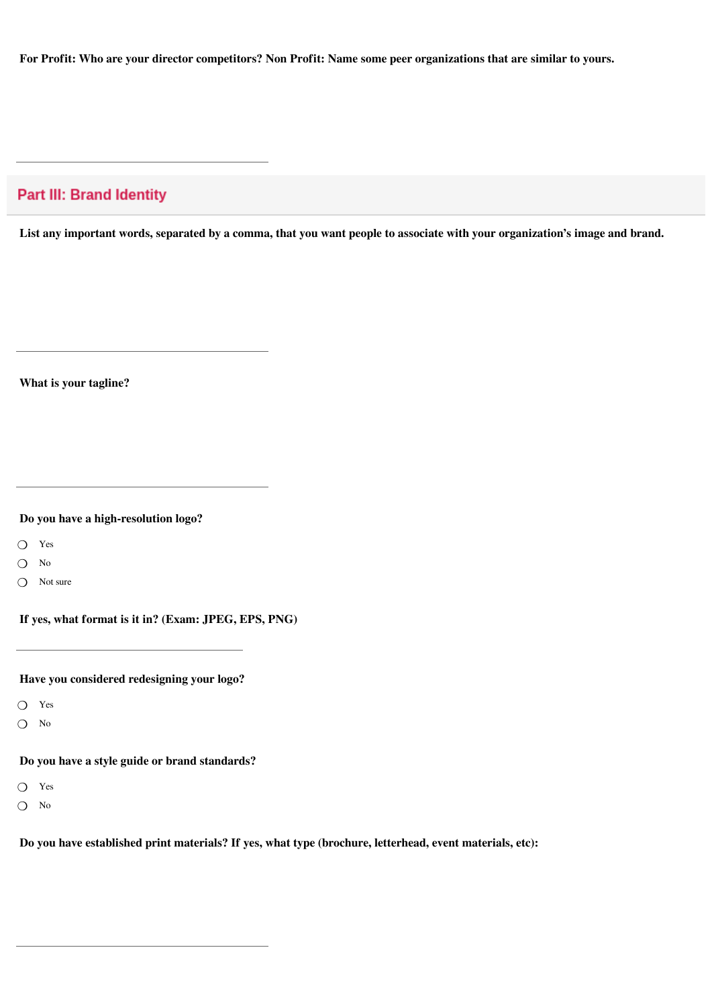**For Profit: Who are your director competitors? Non Profit: Name some peer organizations that are similar to yours.**

### **Part III: Brand Identity**

**List any important words, separated by a comma, that you want people to associate with your organization's image and brand.**

**What is your tagline?**

**Do you have a high-resolution logo?**

Yes ❍

No ❍

◯ Not sure

**If yes, what format is it in? (Exam: JPEG, EPS, PNG)**

**Have you considered redesigning your logo?**

Yes ❍

No ❍

**Do you have a style guide or brand standards?**

Yes ❍

No ❍

**Do you have established print materials? If yes, what type (brochure, letterhead, event materials, etc):**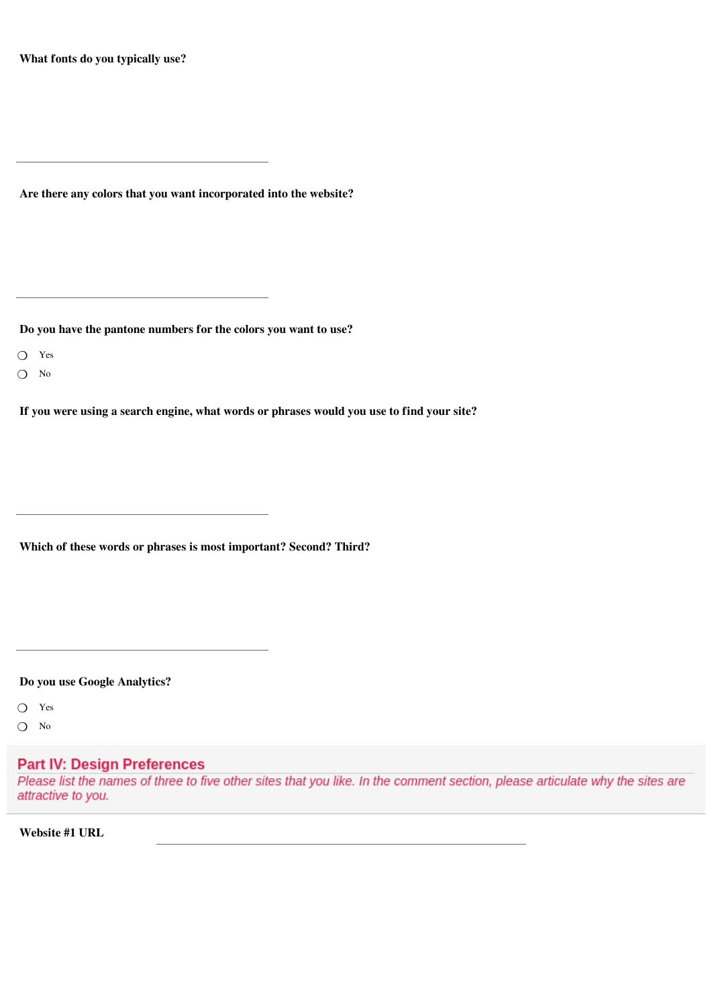**What fonts do you typically use?**

**Are there any colors that you want incorporated into the website?**

**Do you have the pantone numbers for the colors you want to use?**

Yes ❍

No ❍

**If you were using a search engine, what words or phrases would you use to find your site?**

**Which of these words or phrases is most important? Second? Third?**

**Do you use Google Analytics?**

Yes ❍

No ❍

#### **Part IV: Design Preferences**

Please list the names of three to five other sites that you like. In the comment section, please articulate why the sites are attractive to you.

**Website #1 URL**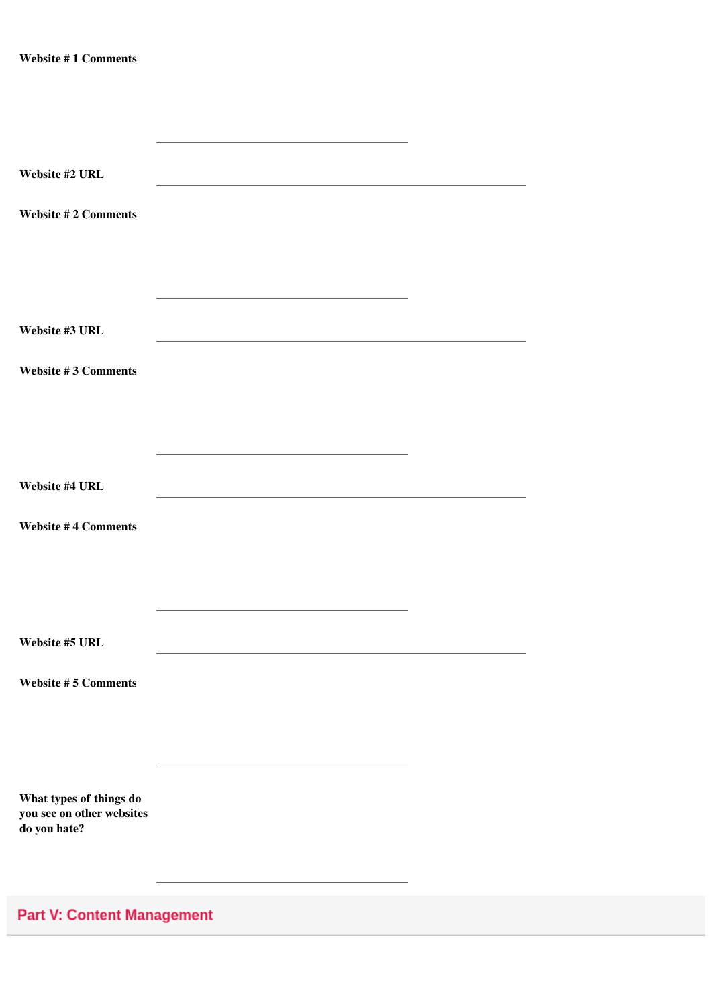| Website #2 URL                            |  |
|-------------------------------------------|--|
| <b>Website #2 Comments</b>                |  |
|                                           |  |
|                                           |  |
|                                           |  |
| Website #3 URL                            |  |
| <b>Website #3 Comments</b>                |  |
|                                           |  |
|                                           |  |
|                                           |  |
| Website #4 URL                            |  |
|                                           |  |
| <b>Website #4 Comments</b>                |  |
|                                           |  |
|                                           |  |
|                                           |  |
| Website #5 URL                            |  |
| <b>Website #5 Comments</b>                |  |
|                                           |  |
|                                           |  |
|                                           |  |
| What types of things do                   |  |
| you see on other websites<br>do you hate? |  |
|                                           |  |
|                                           |  |
| <b>Part V: Content Management</b>         |  |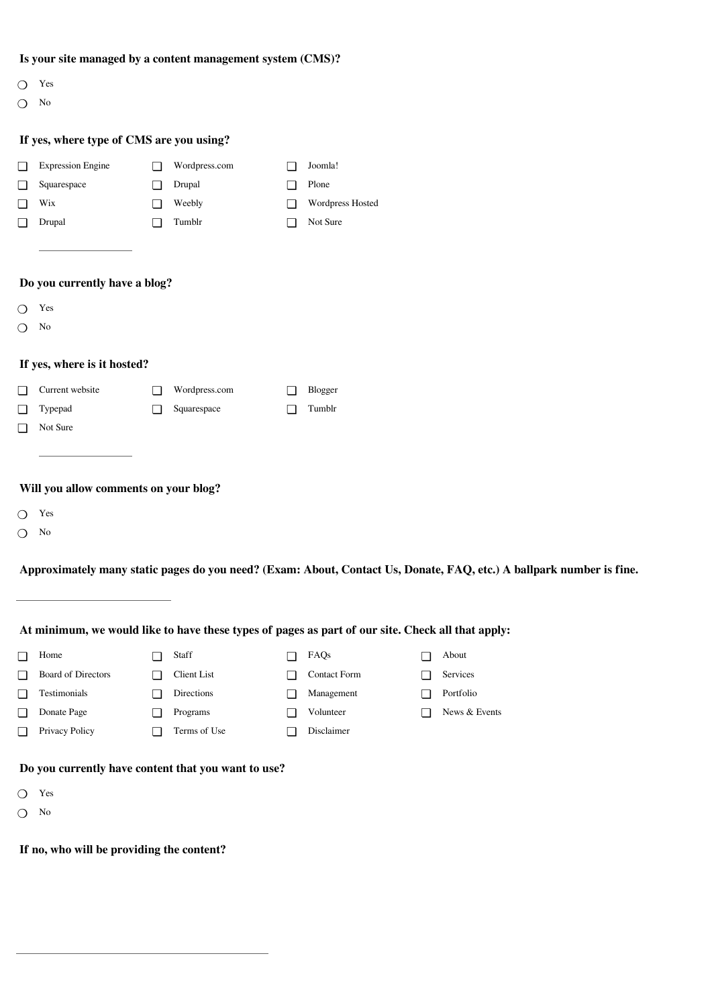| $\Omega$                                            | No                                                                                                                   |        |                    |        |                  |        |               |  |
|-----------------------------------------------------|----------------------------------------------------------------------------------------------------------------------|--------|--------------------|--------|------------------|--------|---------------|--|
|                                                     |                                                                                                                      |        |                    |        |                  |        |               |  |
|                                                     | If yes, where type of CMS are you using?                                                                             |        |                    |        |                  |        |               |  |
| $\Box$                                              | <b>Expression Engine</b>                                                                                             | $\Box$ | Wordpress.com      | $\Box$ | Joomla!          |        |               |  |
| ❏                                                   | Squarespace                                                                                                          | $\Box$ | Drupal             | ❏      | Plone            |        |               |  |
| ❏                                                   | Wix                                                                                                                  | ❏      | Weebly             | ❏      | Wordpress Hosted |        |               |  |
| ❏                                                   | Drupal                                                                                                               | $\Box$ | Tumblr             | $\Box$ | Not Sure         |        |               |  |
|                                                     | Do you currently have a blog?                                                                                        |        |                    |        |                  |        |               |  |
|                                                     |                                                                                                                      |        |                    |        |                  |        |               |  |
| ◯                                                   | Yes                                                                                                                  |        |                    |        |                  |        |               |  |
| $\Omega$                                            | No                                                                                                                   |        |                    |        |                  |        |               |  |
|                                                     | If yes, where is it hosted?                                                                                          |        |                    |        |                  |        |               |  |
| ❏                                                   | Current website                                                                                                      | $\Box$ | Wordpress.com      | ❏      | Blogger          |        |               |  |
| ❏                                                   | Typepad                                                                                                              | $\Box$ | Squarespace        | $\Box$ | Tumblr           |        |               |  |
| ❏                                                   | Not Sure                                                                                                             |        |                    |        |                  |        |               |  |
|                                                     |                                                                                                                      |        |                    |        |                  |        |               |  |
|                                                     |                                                                                                                      |        |                    |        |                  |        |               |  |
|                                                     | Will you allow comments on your blog?                                                                                |        |                    |        |                  |        |               |  |
| ⊖                                                   | Yes                                                                                                                  |        |                    |        |                  |        |               |  |
| 0                                                   | No                                                                                                                   |        |                    |        |                  |        |               |  |
|                                                     | Approximately many static pages do you need? (Exam: About, Contact Us, Donate, FAQ, etc.) A ballpark number is fine. |        |                    |        |                  |        |               |  |
|                                                     |                                                                                                                      |        |                    |        |                  |        |               |  |
|                                                     | At minimum, we would like to have these types of pages as part of our site. Check all that apply:                    |        |                    |        |                  |        |               |  |
| ❏                                                   | Home                                                                                                                 | $\Box$ | Staff              | $\Box$ | FAQs             | $\Box$ | About         |  |
| $\Box$                                              | Board of Directors                                                                                                   | $\Box$ | <b>Client List</b> | $\Box$ | Contact Form     | $\Box$ | Services      |  |
| ❏                                                   | Testimonials                                                                                                         | ◻      | Directions         | ❏      | Management       | □      | Portfolio     |  |
| ❏                                                   | Donate Page                                                                                                          | ◻      | Programs           | ❏      | Volunteer        | ❏      | News & Events |  |
| ❏                                                   | Privacy Policy                                                                                                       | ◘      | Terms of Use       | ◘      | Disclaimer       |        |               |  |
| Do you currently have content that you want to use? |                                                                                                                      |        |                    |        |                  |        |               |  |
|                                                     | Yes                                                                                                                  |        |                    |        |                  |        |               |  |
| ◯<br>◯                                              | $\rm No$                                                                                                             |        |                    |        |                  |        |               |  |
|                                                     |                                                                                                                      |        |                    |        |                  |        |               |  |
|                                                     | If no, who will be providing the content?                                                                            |        |                    |        |                  |        |               |  |

#### **Is your site managed by a content management system (CMS)?**

Yes ❍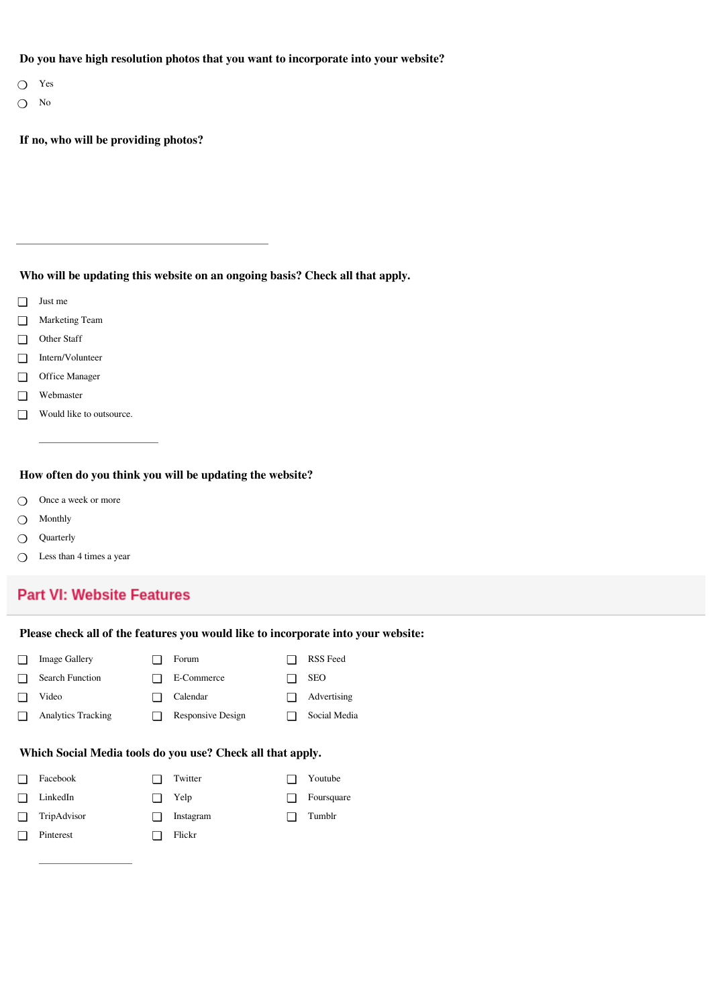**Do you have high resolution photos that you want to incorporate into your website?**

- Yes ❍
- No ❍

**If no, who will be providing photos?**

**Who will be updating this website on an ongoing basis? Check all that apply.**

- Just me ❏
- Marketing Team ❏
- Other Staff ❏
- Intern/Volunteer ❏
- Office Manager ❏
- Webmaster ❏
- Would like to outsource. ❏

**How often do you think you will be updating the website?**

- ◯ Once a week or more
- Monthly  $\Omega$
- Quarterly  $\bigcirc$
- Less than 4 times a year ❍

## **Part VI: Website Features**

**Please check all of the features you would like to incorporate into your website:**

| <b>Image Gallery</b>      | Forum             | RSS Feed     |
|---------------------------|-------------------|--------------|
| Search Function           | E-Commerce        | <b>SEO</b>   |
| Video                     | Calendar          | Advertising  |
| <b>Analytics Tracking</b> | Responsive Design | Social Media |
|                           |                   |              |

#### **Which Social Media tools do you use? Check all that apply.**

- Twitter **Twitter** Twitter **Twitter** Twitter D Yelp **Conserverse Conserverse Conserverse Conserverse Conserverse Conserverse Conserverse Conserverse Conserverse Conserverse Conserverse Conserverse Conserverse Conserverse Conserverse Conserverse Conserverse Conservers TripAdvisor Instagram Tumblr**  $\Box$  Flickr ❏ ❏ ❏ ❏ ❏ ❏ ❏ ❏ ❏
- ❏ ❏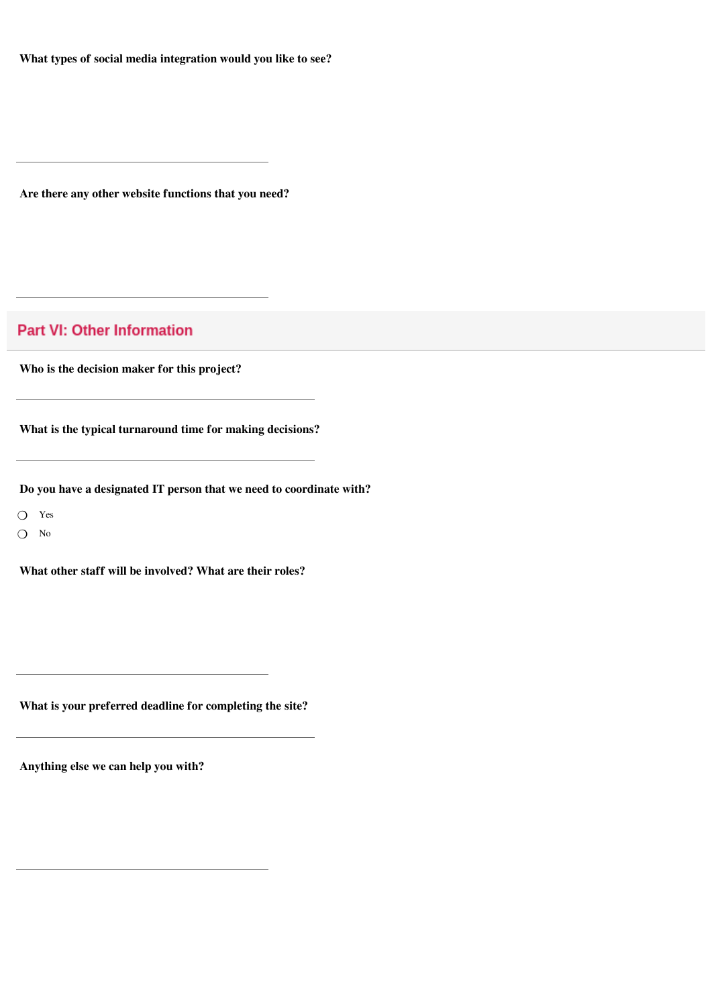**What types of social media integration would you like to see?**

**Are there any other website functions that you need?**

#### **Part VI: Other Information**

**Who is the decision maker for this project?**

**What is the typical turnaround time for making decisions?**

**Do you have a designated IT person that we need to coordinate with?**

Yes ❍

No ❍

**What other staff will be involved? What are their roles?**

**What is your preferred deadline for completing the site?**

**Anything else we can help you with?**